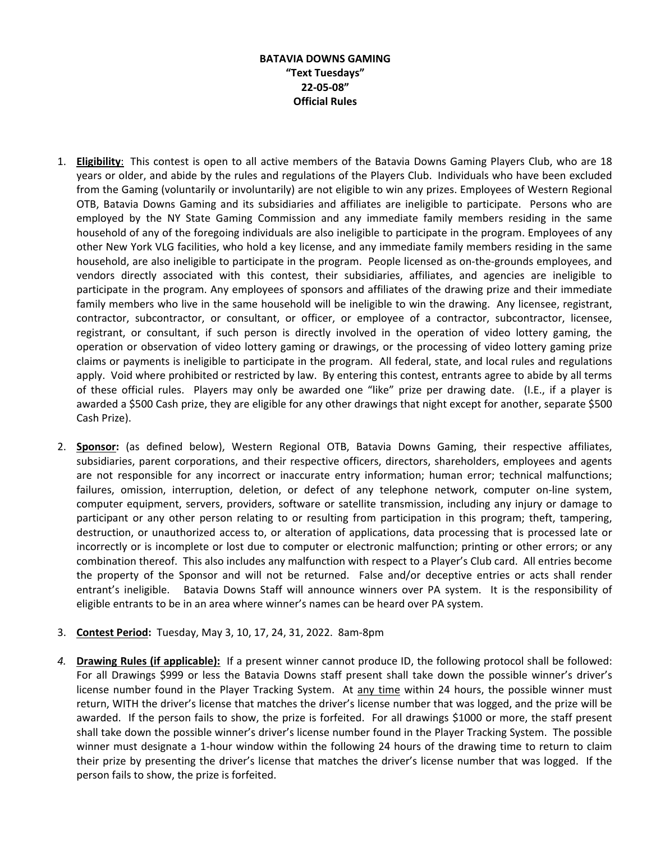## **BATAVIA DOWNS GAMING "Text Tuesdays" 22-05-08" Official Rules**

- 1. **Eligibility**: This contest is open to all active members of the Batavia Downs Gaming Players Club, who are 18 years or older, and abide by the rules and regulations of the Players Club. Individuals who have been excluded from the Gaming (voluntarily or involuntarily) are not eligible to win any prizes. Employees of Western Regional OTB, Batavia Downs Gaming and its subsidiaries and affiliates are ineligible to participate. Persons who are employed by the NY State Gaming Commission and any immediate family members residing in the same household of any of the foregoing individuals are also ineligible to participate in the program. Employees of any other New York VLG facilities, who hold a key license, and any immediate family members residing in the same household, are also ineligible to participate in the program. People licensed as on-the-grounds employees, and vendors directly associated with this contest, their subsidiaries, affiliates, and agencies are ineligible to participate in the program. Any employees of sponsors and affiliates of the drawing prize and their immediate family members who live in the same household will be ineligible to win the drawing. Any licensee, registrant, contractor, subcontractor, or consultant, or officer, or employee of a contractor, subcontractor, licensee, registrant, or consultant, if such person is directly involved in the operation of video lottery gaming, the operation or observation of video lottery gaming or drawings, or the processing of video lottery gaming prize claims or payments is ineligible to participate in the program. All federal, state, and local rules and regulations apply. Void where prohibited or restricted by law. By entering this contest, entrants agree to abide by all terms of these official rules. Players may only be awarded one "like" prize per drawing date. (I.E., if a player is awarded a \$500 Cash prize, they are eligible for any other drawings that night except for another, separate \$500 Cash Prize).
- 2. **Sponsor:** (as defined below), Western Regional OTB, Batavia Downs Gaming, their respective affiliates, subsidiaries, parent corporations, and their respective officers, directors, shareholders, employees and agents are not responsible for any incorrect or inaccurate entry information; human error; technical malfunctions; failures, omission, interruption, deletion, or defect of any telephone network, computer on-line system, computer equipment, servers, providers, software or satellite transmission, including any injury or damage to participant or any other person relating to or resulting from participation in this program; theft, tampering, destruction, or unauthorized access to, or alteration of applications, data processing that is processed late or incorrectly or is incomplete or lost due to computer or electronic malfunction; printing or other errors; or any combination thereof. This also includes any malfunction with respect to a Player's Club card. All entries become the property of the Sponsor and will not be returned. False and/or deceptive entries or acts shall render entrant's ineligible. Batavia Downs Staff will announce winners over PA system. It is the responsibility of eligible entrants to be in an area where winner's names can be heard over PA system.
- 3. **Contest Period:** Tuesday, May 3, 10, 17, 24, 31, 2022. 8am-8pm
- *4.* **Drawing Rules (if applicable):** If a present winner cannot produce ID, the following protocol shall be followed: For all Drawings \$999 or less the Batavia Downs staff present shall take down the possible winner's driver's license number found in the Player Tracking System. At any time within 24 hours, the possible winner must return, WITH the driver's license that matches the driver's license number that was logged, and the prize will be awarded. If the person fails to show, the prize is forfeited. For all drawings \$1000 or more, the staff present shall take down the possible winner's driver's license number found in the Player Tracking System. The possible winner must designate a 1-hour window within the following 24 hours of the drawing time to return to claim their prize by presenting the driver's license that matches the driver's license number that was logged. If the person fails to show, the prize is forfeited.